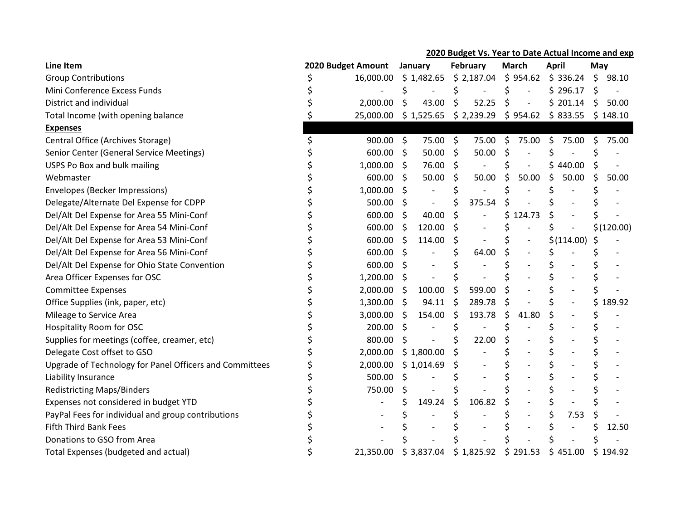## 2020 Budget Vs. Year to Date Actual Income and exp

| <b>Line Item</b>                                        | 2020 Budget Amount |           |                     | January    |    | February   |    | <b>March</b>             |    | <b>April</b> |    | May        |  |
|---------------------------------------------------------|--------------------|-----------|---------------------|------------|----|------------|----|--------------------------|----|--------------|----|------------|--|
| <b>Group Contributions</b>                              |                    | 16,000.00 |                     | \$1,482.65 |    | \$2,187.04 |    | \$954.62                 |    | \$336.24     | S. | 98.10      |  |
| Mini Conference Excess Funds                            |                    |           |                     |            |    |            |    |                          |    | \$296.17     | \$ |            |  |
| District and individual                                 |                    | 2,000.00  | \$                  | 43.00      | \$ | 52.25      | \$ |                          |    | \$201.14     | \$ | 50.00      |  |
| Total Income (with opening balance                      |                    | 25,000.00 |                     | \$1,525.65 |    | \$2,239.29 |    | \$954.62                 |    | \$833.55     |    | \$148.10   |  |
| <b>Expenses</b>                                         |                    |           |                     |            |    |            |    |                          |    |              |    |            |  |
| Central Office (Archives Storage)                       |                    | 900.00    | $\ddot{\mathsf{s}}$ | 75.00      | \$ | 75.00      | Ŝ. | 75.00                    | \$ | 75.00        | Ś. | 75.00      |  |
| Senior Center (General Service Meetings)                |                    | 600.00    | Ŝ.                  | 50.00      | Ŝ. | 50.00      | \$ |                          |    |              |    |            |  |
| USPS Po Box and bulk mailing                            |                    | 1,000.00  | \$                  | 76.00      | S. |            |    | $\overline{\phantom{a}}$ |    | 440.00       |    |            |  |
| Webmaster                                               |                    | 600.00    | Ŝ.                  | 50.00      | S  | 50.00      | Ś. | 50.00                    | Ś  | 50.00        | Ś  | 50.00      |  |
| Envelopes (Becker Impressions)                          |                    | 1,000.00  | \$                  |            |    |            | \$ |                          |    |              |    |            |  |
| Delegate/Alternate Del Expense for CDPP                 |                    | 500.00    | \$.                 |            |    | 375.54     | \$ |                          |    |              |    |            |  |
| Del/Alt Del Expense for Area 55 Mini-Conf               |                    | 600.00    | \$                  | 40.00      |    |            | \$ | 124.73                   |    |              |    |            |  |
| Del/Alt Del Expense for Area 54 Mini-Conf               |                    | 600.00    | \$                  | 120.00     |    |            |    |                          |    |              |    | \$(120.00) |  |
| Del/Alt Del Expense for Area 53 Mini-Conf               |                    | 600.00    | \$                  | 114.00     | S  |            |    |                          |    | \$(114.00)   | \$ |            |  |
| Del/Alt Del Expense for Area 56 Mini-Conf               |                    | 600.00    | \$                  |            |    | 64.00      | Ś. |                          | Ś  |              |    |            |  |
| Del/Alt Del Expense for Ohio State Convention           |                    | 600.00    | S                   |            |    |            |    |                          |    |              |    |            |  |
| Area Officer Expenses for OSC                           |                    | 1,200.00  | S.                  |            |    |            |    |                          |    |              |    |            |  |
| <b>Committee Expenses</b>                               |                    | 2,000.00  | S.                  | 100.00     | \$ | 599.00     |    |                          |    |              |    |            |  |
| Office Supplies (ink, paper, etc)                       |                    | 1,300.00  | \$                  | 94.11      | \$ | 289.78     | \$ |                          |    |              |    | 189.92     |  |
| Mileage to Service Area                                 |                    | 3,000.00  | Ŝ.                  | 154.00     | \$ | 193.78     | \$ | 41.80                    |    |              |    |            |  |
| Hospitality Room for OSC                                |                    | 200.00    | \$                  |            |    |            |    |                          |    |              |    |            |  |
| Supplies for meetings (coffee, creamer, etc)            |                    | 800.00    | S                   |            |    | 22.00      |    |                          |    |              |    |            |  |
| Delegate Cost offset to GSO                             |                    | 2,000.00  |                     | \$1,800.00 |    |            |    |                          |    |              |    |            |  |
| Upgrade of Technology for Panel Officers and Committees |                    | 2,000.00  |                     | \$1,014.69 |    |            |    |                          |    |              | \$ |            |  |
| Liability Insurance                                     |                    | 500.00    | Ŝ.                  |            |    |            |    |                          |    |              |    |            |  |
| <b>Redistricting Maps/Binders</b>                       |                    | 750.00    | \$                  |            |    |            |    |                          |    |              |    |            |  |
| Expenses not considered in budget YTD                   |                    |           |                     | 149.24     |    | 106.82     |    |                          |    |              |    |            |  |
| PayPal Fees for individual and group contributions      |                    |           |                     |            |    |            |    |                          |    | 7.53         |    |            |  |
| <b>Fifth Third Bank Fees</b>                            |                    |           |                     |            |    |            |    |                          |    |              |    | 12.50      |  |
| Donations to GSO from Area                              |                    |           |                     |            |    |            |    |                          |    |              |    |            |  |
| Total Expenses (budgeted and actual)                    |                    | 21,350.00 |                     | \$3,837.04 |    | \$1,825.92 | \$ | 291.53                   | Ś  | 451.00       | \$ | 194.92     |  |